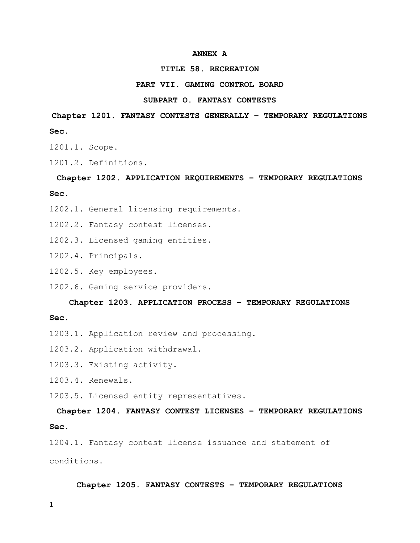#### ANNEX A

#### TITLE 58. RECREATION

#### PART VII. GAMING CONTROL BOARD

#### SUBPART O. FANTASY CONTESTS

Chapter 1201. FANTASY CONTESTS GENERALLY – TEMPORARY REGULATIONS Sec.

1201.1. Scope.

1201.2. Definitions.

# Chapter 1202. APPLICATION REQUIREMENTS – TEMPORARY REGULATIONS

Sec.

- 1202.1. General licensing requirements.
- 1202.2. Fantasy contest licenses.
- 1202.3. Licensed gaming entities.
- 1202.4. Principals.
- 1202.5. Key employees.
- 1202.6. Gaming service providers.

#### Chapter 1203. APPLICATION PROCESS – TEMPORARY REGULATIONS

#### Sec.

- 1203.1. Application review and processing.
- 1203.2. Application withdrawal.
- 1203.3. Existing activity.
- 1203.4. Renewals.

1203.5. Licensed entity representatives.

Chapter 1204. FANTASY CONTEST LICENSES – TEMPORARY REGULATIONS Sec.

1204.1. Fantasy contest license issuance and statement of conditions.

#### Chapter 1205. FANTASY CONTESTS – TEMPORARY REGULATIONS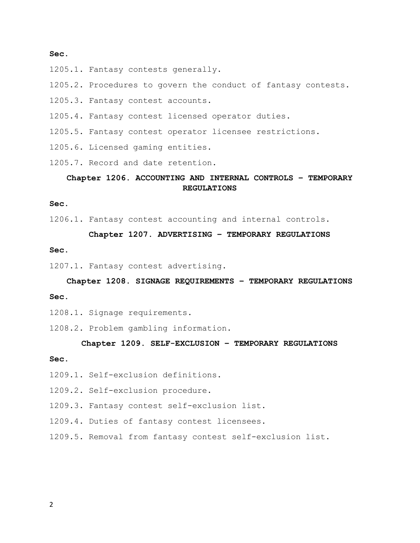#### Sec.

- 1205.1. Fantasy contests generally.
- 1205.2. Procedures to govern the conduct of fantasy contests.
- 1205.3. Fantasy contest accounts.
- 1205.4. Fantasy contest licensed operator duties.
- 1205.5. Fantasy contest operator licensee restrictions.
- 1205.6. Licensed gaming entities.
- 1205.7. Record and date retention.

# Chapter 1206. ACCOUNTING AND INTERNAL CONTROLS – TEMPORARY REGULATIONS

#### Sec.

1206.1. Fantasy contest accounting and internal controls.

#### Chapter 1207. ADVERTISING – TEMPORARY REGULATIONS

#### Sec.

1207.1. Fantasy contest advertising.

# Chapter 1208. SIGNAGE REQUIREMENTS – TEMPORARY REGULATIONS Sec.

- 1208.1. Signage requirements.
- 1208.2. Problem gambling information.

#### Chapter 1209. SELF-EXCLUSION – TEMPORARY REGULATIONS

#### Sec.

- 1209.1. Self-exclusion definitions.
- 1209.2. Self-exclusion procedure.
- 1209.3. Fantasy contest self-exclusion list.
- 1209.4. Duties of fantasy contest licensees.
- 1209.5. Removal from fantasy contest self-exclusion list.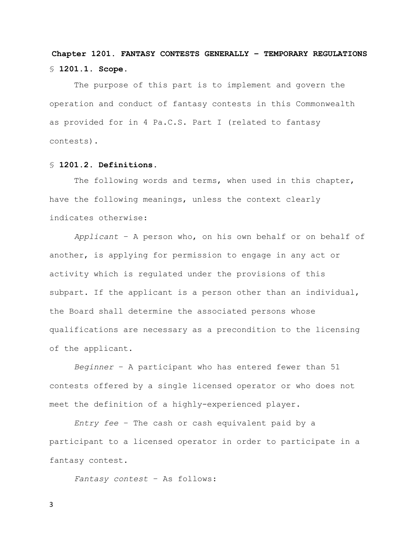# Chapter 1201. FANTASY CONTESTS GENERALLY – TEMPORARY REGULATIONS § 1201.1. Scope.

 The purpose of this part is to implement and govern the operation and conduct of fantasy contests in this Commonwealth as provided for in 4 Pa.C.S. Part I (related to fantasy contests).

#### § 1201.2. Definitions.

The following words and terms, when used in this chapter, have the following meanings, unless the context clearly indicates otherwise:

Applicant – A person who, on his own behalf or on behalf of another, is applying for permission to engage in any act or activity which is regulated under the provisions of this subpart. If the applicant is a person other than an individual, the Board shall determine the associated persons whose qualifications are necessary as a precondition to the licensing of the applicant.

Beginner – A participant who has entered fewer than 51 contests offered by a single licensed operator or who does not meet the definition of a highly-experienced player.

Entry fee – The cash or cash equivalent paid by a participant to a licensed operator in order to participate in a fantasy contest.

Fantasy contest – As follows: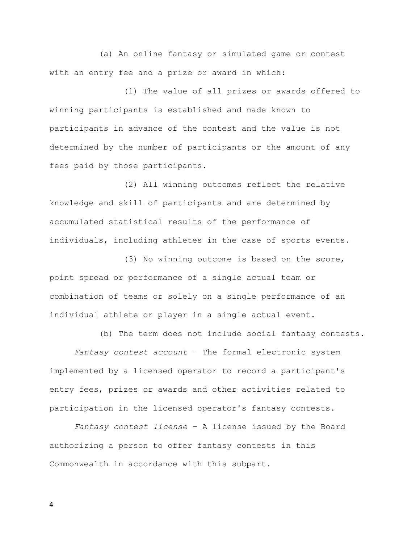(a) An online fantasy or simulated game or contest with an entry fee and a prize or award in which:

 (1) The value of all prizes or awards offered to winning participants is established and made known to participants in advance of the contest and the value is not determined by the number of participants or the amount of any fees paid by those participants.

 (2) All winning outcomes reflect the relative knowledge and skill of participants and are determined by accumulated statistical results of the performance of individuals, including athletes in the case of sports events.

 (3) No winning outcome is based on the score, point spread or performance of a single actual team or combination of teams or solely on a single performance of an individual athlete or player in a single actual event.

(b) The term does not include social fantasy contests.

Fantasy contest account – The formal electronic system implemented by a licensed operator to record a participant's entry fees, prizes or awards and other activities related to participation in the licensed operator's fantasy contests.

Fantasy contest license – A license issued by the Board authorizing a person to offer fantasy contests in this Commonwealth in accordance with this subpart.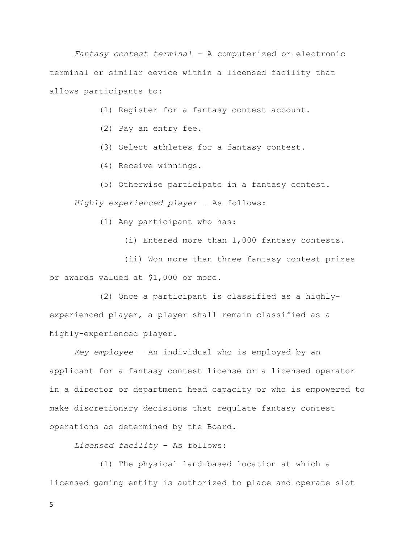Fantasy contest terminal – A computerized or electronic terminal or similar device within a licensed facility that allows participants to:

(1) Register for a fantasy contest account.

- (2) Pay an entry fee.
- (3) Select athletes for a fantasy contest.
- (4) Receive winnings.
- (5) Otherwise participate in a fantasy contest.

Highly experienced player – As follows:

(1) Any participant who has:

(i) Entered more than 1,000 fantasy contests.

 (ii) Won more than three fantasy contest prizes or awards valued at \$1,000 or more.

 (2) Once a participant is classified as a highlyexperienced player, a player shall remain classified as a highly-experienced player.

Key employee – An individual who is employed by an applicant for a fantasy contest license or a licensed operator in a director or department head capacity or who is empowered to make discretionary decisions that regulate fantasy contest operations as determined by the Board.

Licensed facility – As follows:

 (1) The physical land-based location at which a licensed gaming entity is authorized to place and operate slot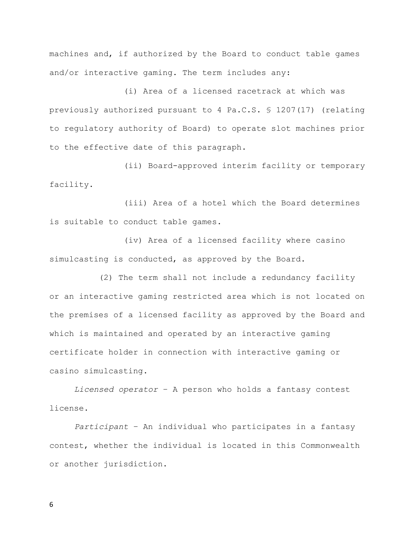machines and, if authorized by the Board to conduct table games and/or interactive gaming. The term includes any:

 (i) Area of a licensed racetrack at which was previously authorized pursuant to 4 Pa.C.S. § 1207(17) (relating to regulatory authority of Board) to operate slot machines prior to the effective date of this paragraph.

 (ii) Board-approved interim facility or temporary facility.

 (iii) Area of a hotel which the Board determines is suitable to conduct table games.

 (iv) Area of a licensed facility where casino simulcasting is conducted, as approved by the Board.

 (2) The term shall not include a redundancy facility or an interactive gaming restricted area which is not located on the premises of a licensed facility as approved by the Board and which is maintained and operated by an interactive gaming certificate holder in connection with interactive gaming or casino simulcasting.

Licensed operator – A person who holds a fantasy contest license.

Participant – An individual who participates in a fantasy contest, whether the individual is located in this Commonwealth or another jurisdiction.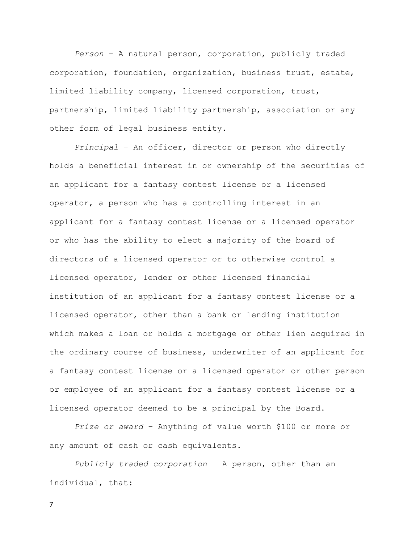Person – A natural person, corporation, publicly traded corporation, foundation, organization, business trust, estate, limited liability company, licensed corporation, trust, partnership, limited liability partnership, association or any other form of legal business entity.

Principal – An officer, director or person who directly holds a beneficial interest in or ownership of the securities of an applicant for a fantasy contest license or a licensed operator, a person who has a controlling interest in an applicant for a fantasy contest license or a licensed operator or who has the ability to elect a majority of the board of directors of a licensed operator or to otherwise control a licensed operator, lender or other licensed financial institution of an applicant for a fantasy contest license or a licensed operator, other than a bank or lending institution which makes a loan or holds a mortgage or other lien acquired in the ordinary course of business, underwriter of an applicant for a fantasy contest license or a licensed operator or other person or employee of an applicant for a fantasy contest license or a licensed operator deemed to be a principal by the Board.

Prize or award – Anything of value worth \$100 or more or any amount of cash or cash equivalents.

Publicly traded corporation – A person, other than an individual, that: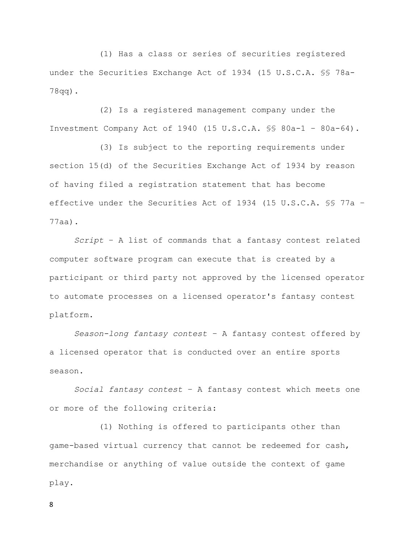(1) Has a class or series of securities registered under the Securities Exchange Act of 1934 (15 U.S.C.A. §§ 78a-78qq).

 (2) Is a registered management company under the Investment Company Act of 1940 (15 U.S.C.A. §§ 80a-1 – 80a-64).

 (3) Is subject to the reporting requirements under section 15(d) of the Securities Exchange Act of 1934 by reason of having filed a registration statement that has become effective under the Securities Act of 1934 (15 U.S.C.A. §§ 77a – 77aa).

Script – A list of commands that a fantasy contest related computer software program can execute that is created by a participant or third party not approved by the licensed operator to automate processes on a licensed operator's fantasy contest platform.

Season-long fantasy contest – A fantasy contest offered by a licensed operator that is conducted over an entire sports season.

Social fantasy contest – A fantasy contest which meets one or more of the following criteria:

 (1) Nothing is offered to participants other than game-based virtual currency that cannot be redeemed for cash, merchandise or anything of value outside the context of game play.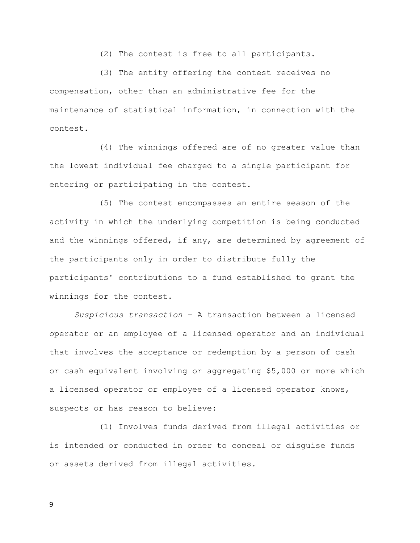(2) The contest is free to all participants.

 (3) The entity offering the contest receives no compensation, other than an administrative fee for the maintenance of statistical information, in connection with the contest.

 (4) The winnings offered are of no greater value than the lowest individual fee charged to a single participant for entering or participating in the contest.

 (5) The contest encompasses an entire season of the activity in which the underlying competition is being conducted and the winnings offered, if any, are determined by agreement of the participants only in order to distribute fully the participants' contributions to a fund established to grant the winnings for the contest.

Suspicious transaction – A transaction between a licensed operator or an employee of a licensed operator and an individual that involves the acceptance or redemption by a person of cash or cash equivalent involving or aggregating \$5,000 or more which a licensed operator or employee of a licensed operator knows, suspects or has reason to believe:

 (1) Involves funds derived from illegal activities or is intended or conducted in order to conceal or disguise funds or assets derived from illegal activities.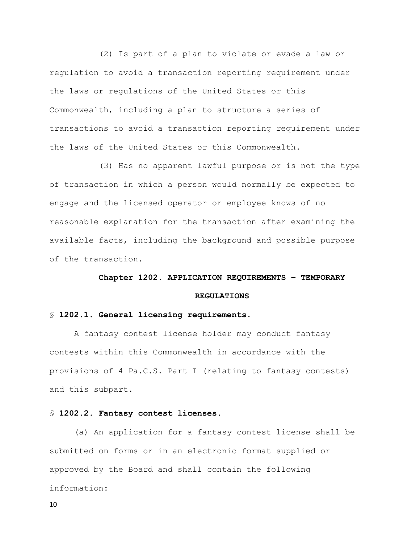(2) Is part of a plan to violate or evade a law or regulation to avoid a transaction reporting requirement under the laws or regulations of the United States or this Commonwealth, including a plan to structure a series of transactions to avoid a transaction reporting requirement under the laws of the United States or this Commonwealth.

 (3) Has no apparent lawful purpose or is not the type of transaction in which a person would normally be expected to engage and the licensed operator or employee knows of no reasonable explanation for the transaction after examining the available facts, including the background and possible purpose of the transaction.

#### Chapter 1202. APPLICATION REQUIREMENTS – TEMPORARY

#### REGULATIONS

#### § 1202.1. General licensing requirements.

 A fantasy contest license holder may conduct fantasy contests within this Commonwealth in accordance with the provisions of 4 Pa.C.S. Part I (relating to fantasy contests) and this subpart.

#### § 1202.2. Fantasy contest licenses.

(a) An application for a fantasy contest license shall be submitted on forms or in an electronic format supplied or approved by the Board and shall contain the following information: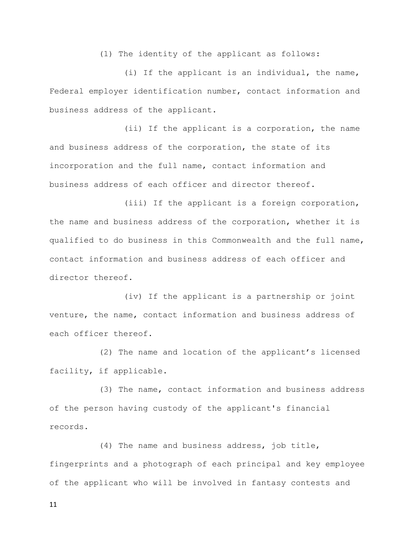(1) The identity of the applicant as follows:

 (i) If the applicant is an individual, the name, Federal employer identification number, contact information and business address of the applicant.

 (ii) If the applicant is a corporation, the name and business address of the corporation, the state of its incorporation and the full name, contact information and business address of each officer and director thereof.

 (iii) If the applicant is a foreign corporation, the name and business address of the corporation, whether it is qualified to do business in this Commonwealth and the full name, contact information and business address of each officer and director thereof.

 (iv) If the applicant is a partnership or joint venture, the name, contact information and business address of each officer thereof.

 (2) The name and location of the applicant's licensed facility, if applicable.

 (3) The name, contact information and business address of the person having custody of the applicant's financial records.

 (4) The name and business address, job title, fingerprints and a photograph of each principal and key employee of the applicant who will be involved in fantasy contests and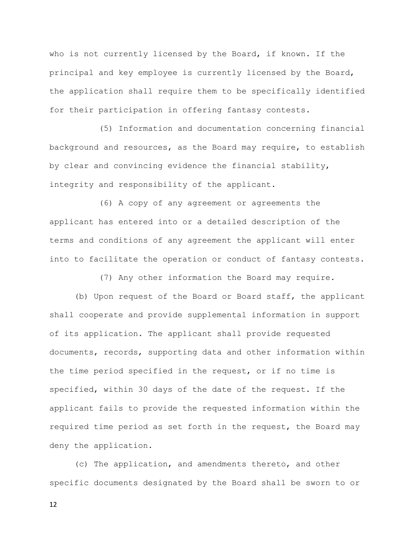who is not currently licensed by the Board, if known. If the principal and key employee is currently licensed by the Board, the application shall require them to be specifically identified for their participation in offering fantasy contests.

 (5) Information and documentation concerning financial background and resources, as the Board may require, to establish by clear and convincing evidence the financial stability, integrity and responsibility of the applicant.

 (6) A copy of any agreement or agreements the applicant has entered into or a detailed description of the terms and conditions of any agreement the applicant will enter into to facilitate the operation or conduct of fantasy contests.

(7) Any other information the Board may require.

 (b) Upon request of the Board or Board staff, the applicant shall cooperate and provide supplemental information in support of its application. The applicant shall provide requested documents, records, supporting data and other information within the time period specified in the request, or if no time is specified, within 30 days of the date of the request. If the applicant fails to provide the requested information within the required time period as set forth in the request, the Board may deny the application.

 (c) The application, and amendments thereto, and other specific documents designated by the Board shall be sworn to or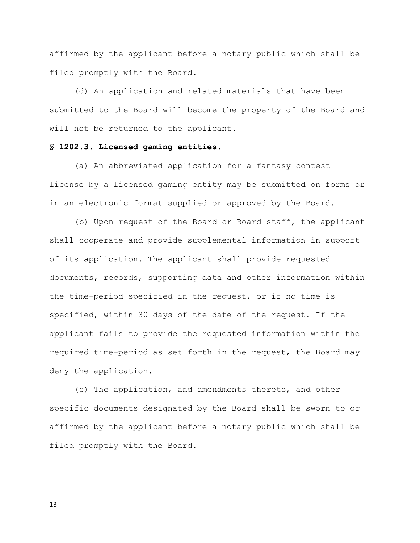affirmed by the applicant before a notary public which shall be filed promptly with the Board.

 (d) An application and related materials that have been submitted to the Board will become the property of the Board and will not be returned to the applicant.

## § 1202.3. Licensed gaming entities.

(a) An abbreviated application for a fantasy contest license by a licensed gaming entity may be submitted on forms or in an electronic format supplied or approved by the Board.

 (b) Upon request of the Board or Board staff, the applicant shall cooperate and provide supplemental information in support of its application. The applicant shall provide requested documents, records, supporting data and other information within the time-period specified in the request, or if no time is specified, within 30 days of the date of the request. If the applicant fails to provide the requested information within the required time-period as set forth in the request, the Board may deny the application.

 (c) The application, and amendments thereto, and other specific documents designated by the Board shall be sworn to or affirmed by the applicant before a notary public which shall be filed promptly with the Board.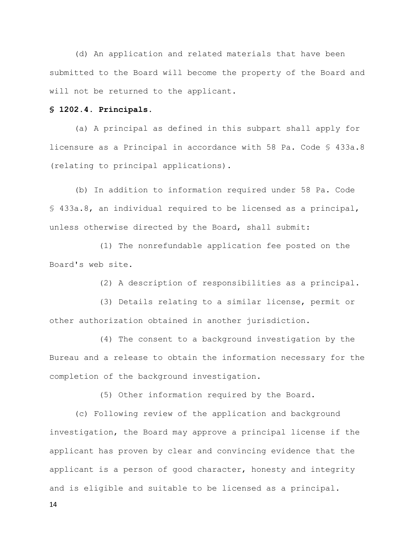(d) An application and related materials that have been submitted to the Board will become the property of the Board and will not be returned to the applicant.

#### § 1202.4. Principals.

 (a) A principal as defined in this subpart shall apply for licensure as a Principal in accordance with 58 Pa. Code § 433a.8 (relating to principal applications).

 (b) In addition to information required under 58 Pa. Code § 433a.8, an individual required to be licensed as a principal, unless otherwise directed by the Board, shall submit:

 (1) The nonrefundable application fee posted on the Board's web site.

(2) A description of responsibilities as a principal.

 (3) Details relating to a similar license, permit or other authorization obtained in another jurisdiction.

 (4) The consent to a background investigation by the Bureau and a release to obtain the information necessary for the completion of the background investigation.

(5) Other information required by the Board.

 (c) Following review of the application and background investigation, the Board may approve a principal license if the applicant has proven by clear and convincing evidence that the applicant is a person of good character, honesty and integrity and is eligible and suitable to be licensed as a principal.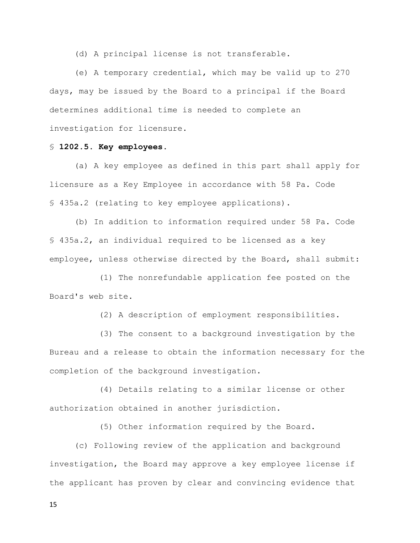(d) A principal license is not transferable.

 (e) A temporary credential, which may be valid up to 270 days, may be issued by the Board to a principal if the Board determines additional time is needed to complete an investigation for licensure.

## § 1202.5. Key employees.

(a) A key employee as defined in this part shall apply for licensure as a Key Employee in accordance with 58 Pa. Code § 435a.2 (relating to key employee applications).

 (b) In addition to information required under 58 Pa. Code § 435a.2, an individual required to be licensed as a key employee, unless otherwise directed by the Board, shall submit:

 (1) The nonrefundable application fee posted on the Board's web site.

(2) A description of employment responsibilities.

 (3) The consent to a background investigation by the Bureau and a release to obtain the information necessary for the completion of the background investigation.

 (4) Details relating to a similar license or other authorization obtained in another jurisdiction.

(5) Other information required by the Board.

 (c) Following review of the application and background investigation, the Board may approve a key employee license if the applicant has proven by clear and convincing evidence that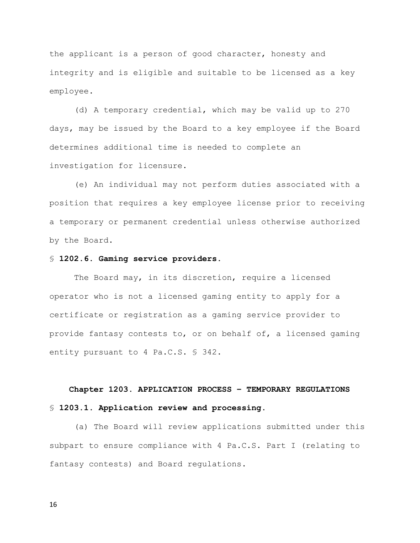the applicant is a person of good character, honesty and integrity and is eligible and suitable to be licensed as a key employee.

 (d) A temporary credential, which may be valid up to 270 days, may be issued by the Board to a key employee if the Board determines additional time is needed to complete an investigation for licensure.

 (e) An individual may not perform duties associated with a position that requires a key employee license prior to receiving a temporary or permanent credential unless otherwise authorized by the Board.

#### § 1202.6. Gaming service providers.

 The Board may, in its discretion, require a licensed operator who is not a licensed gaming entity to apply for a certificate or registration as a gaming service provider to provide fantasy contests to, or on behalf of, a licensed gaming entity pursuant to 4 Pa.C.S. § 342.

# Chapter 1203. APPLICATION PROCESS – TEMPORARY REGULATIONS § 1203.1. Application review and processing.

(a) The Board will review applications submitted under this subpart to ensure compliance with 4 Pa.C.S. Part I (relating to fantasy contests) and Board regulations.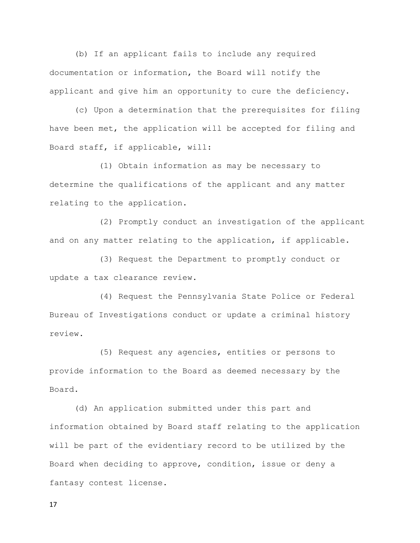(b) If an applicant fails to include any required documentation or information, the Board will notify the applicant and give him an opportunity to cure the deficiency.

 (c) Upon a determination that the prerequisites for filing have been met, the application will be accepted for filing and Board staff, if applicable, will:

 (1) Obtain information as may be necessary to determine the qualifications of the applicant and any matter relating to the application.

 (2) Promptly conduct an investigation of the applicant and on any matter relating to the application, if applicable.

 (3) Request the Department to promptly conduct or update a tax clearance review.

 (4) Request the Pennsylvania State Police or Federal Bureau of Investigations conduct or update a criminal history review.

 (5) Request any agencies, entities or persons to provide information to the Board as deemed necessary by the Board.

 (d) An application submitted under this part and information obtained by Board staff relating to the application will be part of the evidentiary record to be utilized by the Board when deciding to approve, condition, issue or deny a fantasy contest license.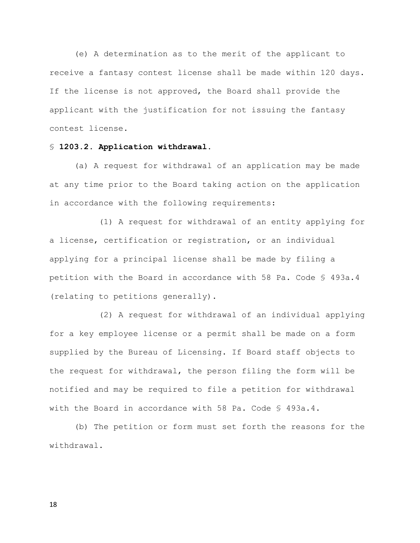(e) A determination as to the merit of the applicant to receive a fantasy contest license shall be made within 120 days. If the license is not approved, the Board shall provide the applicant with the justification for not issuing the fantasy contest license.

## § 1203.2. Application withdrawal.

(a) A request for withdrawal of an application may be made at any time prior to the Board taking action on the application in accordance with the following requirements:

 (1) A request for withdrawal of an entity applying for a license, certification or registration, or an individual applying for a principal license shall be made by filing a petition with the Board in accordance with 58 Pa. Code § 493a.4 (relating to petitions generally).

 (2) A request for withdrawal of an individual applying for a key employee license or a permit shall be made on a form supplied by the Bureau of Licensing. If Board staff objects to the request for withdrawal, the person filing the form will be notified and may be required to file a petition for withdrawal with the Board in accordance with 58 Pa. Code § 493a.4.

 (b) The petition or form must set forth the reasons for the withdrawal.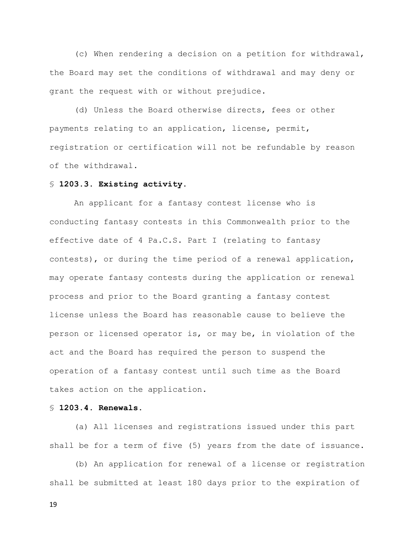(c) When rendering a decision on a petition for withdrawal, the Board may set the conditions of withdrawal and may deny or grant the request with or without prejudice.

 (d) Unless the Board otherwise directs, fees or other payments relating to an application, license, permit, registration or certification will not be refundable by reason of the withdrawal.

#### § 1203.3. Existing activity.

 An applicant for a fantasy contest license who is conducting fantasy contests in this Commonwealth prior to the effective date of 4 Pa.C.S. Part I (relating to fantasy contests), or during the time period of a renewal application, may operate fantasy contests during the application or renewal process and prior to the Board granting a fantasy contest license unless the Board has reasonable cause to believe the person or licensed operator is, or may be, in violation of the act and the Board has required the person to suspend the operation of a fantasy contest until such time as the Board takes action on the application.

#### § 1203.4. Renewals.

(a) All licenses and registrations issued under this part shall be for a term of five (5) years from the date of issuance.

 (b) An application for renewal of a license or registration shall be submitted at least 180 days prior to the expiration of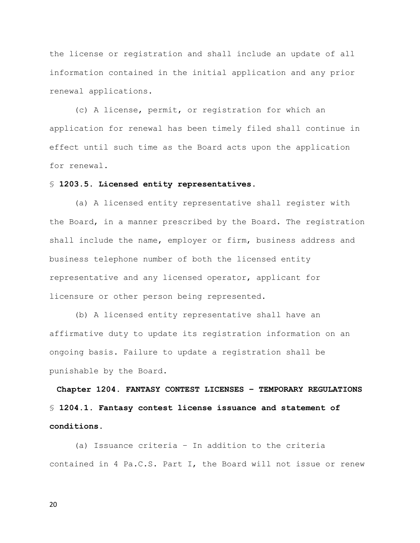the license or registration and shall include an update of all information contained in the initial application and any prior renewal applications.

 (c) A license, permit, or registration for which an application for renewal has been timely filed shall continue in effect until such time as the Board acts upon the application for renewal.

#### § 1203.5. Licensed entity representatives.

(a) A licensed entity representative shall register with the Board, in a manner prescribed by the Board. The registration shall include the name, employer or firm, business address and business telephone number of both the licensed entity representative and any licensed operator, applicant for licensure or other person being represented.

 (b) A licensed entity representative shall have an affirmative duty to update its registration information on an ongoing basis. Failure to update a registration shall be punishable by the Board.

Chapter 1204. FANTASY CONTEST LICENSES – TEMPORARY REGULATIONS § 1204.1. Fantasy contest license issuance and statement of conditions.

(a) Issuance criteria – In addition to the criteria contained in 4 Pa.C.S. Part I, the Board will not issue or renew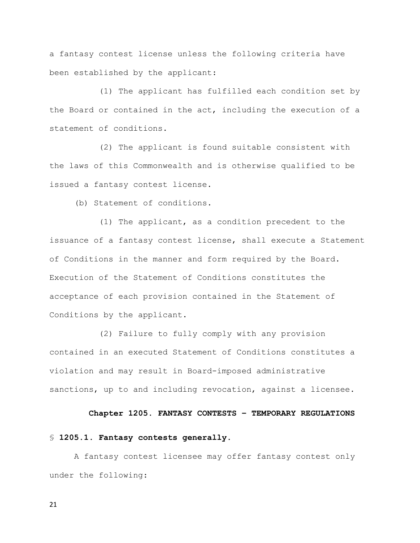a fantasy contest license unless the following criteria have been established by the applicant:

 (1) The applicant has fulfilled each condition set by the Board or contained in the act, including the execution of a statement of conditions.

 (2) The applicant is found suitable consistent with the laws of this Commonwealth and is otherwise qualified to be issued a fantasy contest license.

(b) Statement of conditions.

 (1) The applicant, as a condition precedent to the issuance of a fantasy contest license, shall execute a Statement of Conditions in the manner and form required by the Board. Execution of the Statement of Conditions constitutes the acceptance of each provision contained in the Statement of Conditions by the applicant.

 (2) Failure to fully comply with any provision contained in an executed Statement of Conditions constitutes a violation and may result in Board-imposed administrative sanctions, up to and including revocation, against a licensee.

#### Chapter 1205. FANTASY CONTESTS – TEMPORARY REGULATIONS

#### § 1205.1. Fantasy contests generally.

 A fantasy contest licensee may offer fantasy contest only under the following: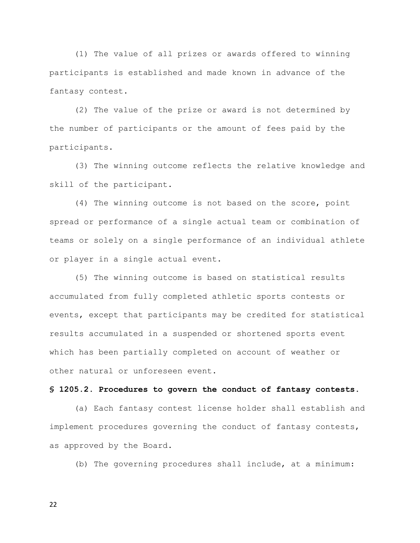(1) The value of all prizes or awards offered to winning participants is established and made known in advance of the fantasy contest.

 (2) The value of the prize or award is not determined by the number of participants or the amount of fees paid by the participants.

 (3) The winning outcome reflects the relative knowledge and skill of the participant.

 (4) The winning outcome is not based on the score, point spread or performance of a single actual team or combination of teams or solely on a single performance of an individual athlete or player in a single actual event.

 (5) The winning outcome is based on statistical results accumulated from fully completed athletic sports contests or events, except that participants may be credited for statistical results accumulated in a suspended or shortened sports event which has been partially completed on account of weather or other natural or unforeseen event.

#### § 1205.2. Procedures to govern the conduct of fantasy contests.

(a) Each fantasy contest license holder shall establish and implement procedures governing the conduct of fantasy contests, as approved by the Board.

(b) The governing procedures shall include, at a minimum: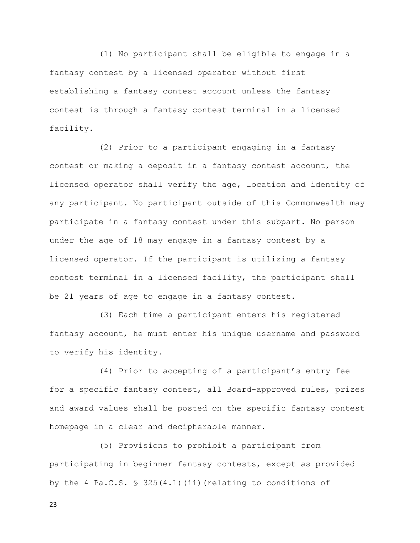(1) No participant shall be eligible to engage in a fantasy contest by a licensed operator without first establishing a fantasy contest account unless the fantasy contest is through a fantasy contest terminal in a licensed facility.

 (2) Prior to a participant engaging in a fantasy contest or making a deposit in a fantasy contest account, the licensed operator shall verify the age, location and identity of any participant. No participant outside of this Commonwealth may participate in a fantasy contest under this subpart. No person under the age of 18 may engage in a fantasy contest by a licensed operator. If the participant is utilizing a fantasy contest terminal in a licensed facility, the participant shall be 21 years of age to engage in a fantasy contest.

 (3) Each time a participant enters his registered fantasy account, he must enter his unique username and password to verify his identity.

 (4) Prior to accepting of a participant's entry fee for a specific fantasy contest, all Board-approved rules, prizes and award values shall be posted on the specific fantasy contest homepage in a clear and decipherable manner.

 (5) Provisions to prohibit a participant from participating in beginner fantasy contests, except as provided by the 4 Pa.C.S. § 325(4.1)(ii)(relating to conditions of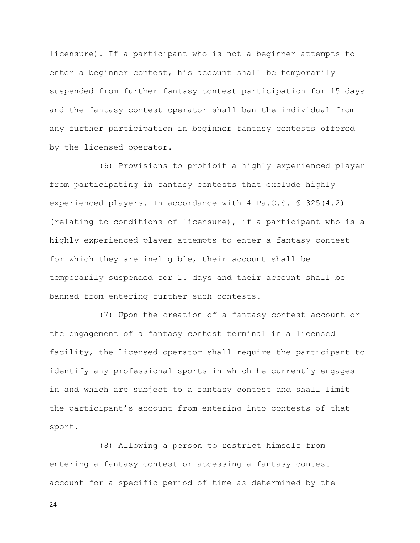licensure). If a participant who is not a beginner attempts to enter a beginner contest, his account shall be temporarily suspended from further fantasy contest participation for 15 days and the fantasy contest operator shall ban the individual from any further participation in beginner fantasy contests offered by the licensed operator.

 (6) Provisions to prohibit a highly experienced player from participating in fantasy contests that exclude highly experienced players. In accordance with 4 Pa.C.S. § 325(4.2) (relating to conditions of licensure), if a participant who is a highly experienced player attempts to enter a fantasy contest for which they are ineligible, their account shall be temporarily suspended for 15 days and their account shall be banned from entering further such contests.

 (7) Upon the creation of a fantasy contest account or the engagement of a fantasy contest terminal in a licensed facility, the licensed operator shall require the participant to identify any professional sports in which he currently engages in and which are subject to a fantasy contest and shall limit the participant's account from entering into contests of that sport.

 (8) Allowing a person to restrict himself from entering a fantasy contest or accessing a fantasy contest account for a specific period of time as determined by the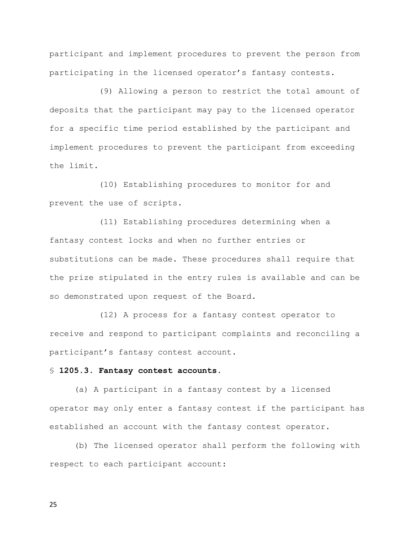participant and implement procedures to prevent the person from participating in the licensed operator's fantasy contests.

 (9) Allowing a person to restrict the total amount of deposits that the participant may pay to the licensed operator for a specific time period established by the participant and implement procedures to prevent the participant from exceeding the limit.

 (10) Establishing procedures to monitor for and prevent the use of scripts.

 (11) Establishing procedures determining when a fantasy contest locks and when no further entries or substitutions can be made. These procedures shall require that the prize stipulated in the entry rules is available and can be so demonstrated upon request of the Board.

 (12) A process for a fantasy contest operator to receive and respond to participant complaints and reconciling a participant's fantasy contest account.

#### § 1205.3. Fantasy contest accounts.

(a) A participant in a fantasy contest by a licensed operator may only enter a fantasy contest if the participant has established an account with the fantasy contest operator.

 (b) The licensed operator shall perform the following with respect to each participant account: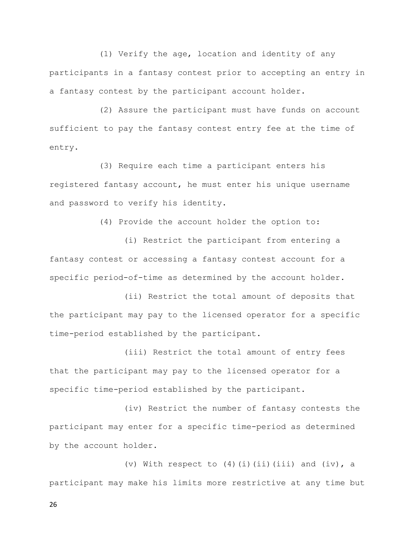(1) Verify the age, location and identity of any participants in a fantasy contest prior to accepting an entry in a fantasy contest by the participant account holder.

 (2) Assure the participant must have funds on account sufficient to pay the fantasy contest entry fee at the time of entry.

 (3) Require each time a participant enters his registered fantasy account, he must enter his unique username and password to verify his identity.

(4) Provide the account holder the option to:

 (i) Restrict the participant from entering a fantasy contest or accessing a fantasy contest account for a specific period-of-time as determined by the account holder.

 (ii) Restrict the total amount of deposits that the participant may pay to the licensed operator for a specific time-period established by the participant.

 (iii) Restrict the total amount of entry fees that the participant may pay to the licensed operator for a specific time-period established by the participant.

 (iv) Restrict the number of fantasy contests the participant may enter for a specific time-period as determined by the account holder.

(v) With respect to  $(4)(i)(ii)(iii)$  and  $(iv)$ , a participant may make his limits more restrictive at any time but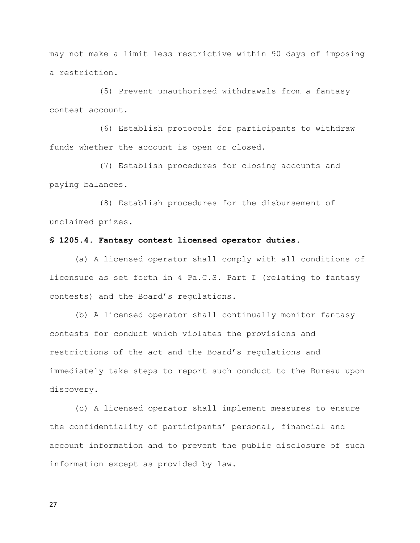may not make a limit less restrictive within 90 days of imposing a restriction.

 (5) Prevent unauthorized withdrawals from a fantasy contest account.

 (6) Establish protocols for participants to withdraw funds whether the account is open or closed.

 (7) Establish procedures for closing accounts and paying balances.

 (8) Establish procedures for the disbursement of unclaimed prizes.

#### § 1205.4. Fantasy contest licensed operator duties.

(a) A licensed operator shall comply with all conditions of licensure as set forth in 4 Pa.C.S. Part I (relating to fantasy contests) and the Board's regulations.

 (b) A licensed operator shall continually monitor fantasy contests for conduct which violates the provisions and restrictions of the act and the Board's regulations and immediately take steps to report such conduct to the Bureau upon discovery.

 (c) A licensed operator shall implement measures to ensure the confidentiality of participants' personal, financial and account information and to prevent the public disclosure of such information except as provided by law.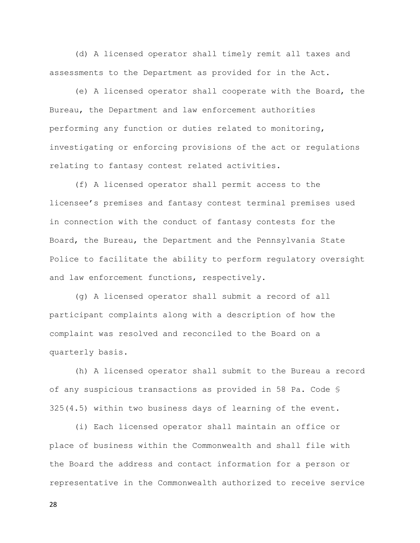(d) A licensed operator shall timely remit all taxes and assessments to the Department as provided for in the Act.

 (e) A licensed operator shall cooperate with the Board, the Bureau, the Department and law enforcement authorities performing any function or duties related to monitoring, investigating or enforcing provisions of the act or regulations relating to fantasy contest related activities.

 (f) A licensed operator shall permit access to the licensee's premises and fantasy contest terminal premises used in connection with the conduct of fantasy contests for the Board, the Bureau, the Department and the Pennsylvania State Police to facilitate the ability to perform regulatory oversight and law enforcement functions, respectively.

 (g) A licensed operator shall submit a record of all participant complaints along with a description of how the complaint was resolved and reconciled to the Board on a quarterly basis.

 (h) A licensed operator shall submit to the Bureau a record of any suspicious transactions as provided in 58 Pa. Code § 325(4.5) within two business days of learning of the event.

 (i) Each licensed operator shall maintain an office or place of business within the Commonwealth and shall file with the Board the address and contact information for a person or representative in the Commonwealth authorized to receive service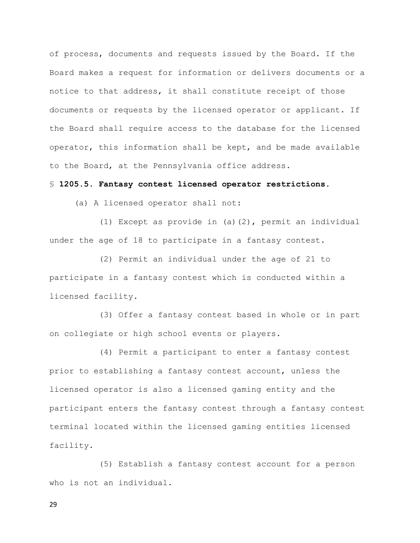of process, documents and requests issued by the Board. If the Board makes a request for information or delivers documents or a notice to that address, it shall constitute receipt of those documents or requests by the licensed operator or applicant. If the Board shall require access to the database for the licensed operator, this information shall be kept, and be made available to the Board, at the Pennsylvania office address.

#### § 1205.5. Fantasy contest licensed operator restrictions.

(a) A licensed operator shall not:

 (1) Except as provide in (a)(2), permit an individual under the age of 18 to participate in a fantasy contest.

 (2) Permit an individual under the age of 21 to participate in a fantasy contest which is conducted within a licensed facility.

 (3) Offer a fantasy contest based in whole or in part on collegiate or high school events or players.

 (4) Permit a participant to enter a fantasy contest prior to establishing a fantasy contest account, unless the licensed operator is also a licensed gaming entity and the participant enters the fantasy contest through a fantasy contest terminal located within the licensed gaming entities licensed facility.

 (5) Establish a fantasy contest account for a person who is not an individual.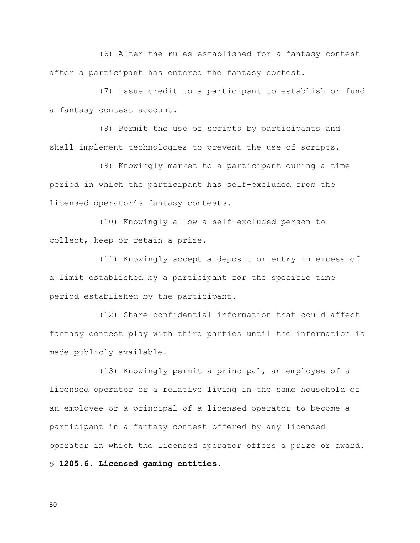(6) Alter the rules established for a fantasy contest after a participant has entered the fantasy contest.

 (7) Issue credit to a participant to establish or fund a fantasy contest account.

 (8) Permit the use of scripts by participants and shall implement technologies to prevent the use of scripts.

 (9) Knowingly market to a participant during a time period in which the participant has self-excluded from the licensed operator's fantasy contests.

 (10) Knowingly allow a self-excluded person to collect, keep or retain a prize.

 (11) Knowingly accept a deposit or entry in excess of a limit established by a participant for the specific time period established by the participant.

 (12) Share confidential information that could affect fantasy contest play with third parties until the information is made publicly available.

 (13) Knowingly permit a principal, an employee of a licensed operator or a relative living in the same household of an employee or a principal of a licensed operator to become a participant in a fantasy contest offered by any licensed operator in which the licensed operator offers a prize or award. § 1205.6. Licensed gaming entities.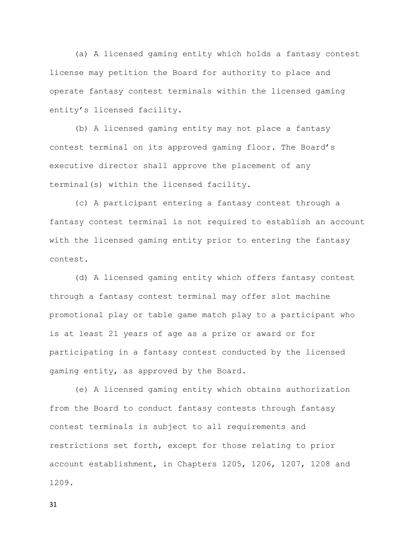(a) A licensed gaming entity which holds a fantasy contest license may petition the Board for authority to place and operate fantasy contest terminals within the licensed gaming entity's licensed facility.

 (b) A licensed gaming entity may not place a fantasy contest terminal on its approved gaming floor. The Board's executive director shall approve the placement of any terminal(s) within the licensed facility.

 (c) A participant entering a fantasy contest through a fantasy contest terminal is not required to establish an account with the licensed gaming entity prior to entering the fantasy contest.

 (d) A licensed gaming entity which offers fantasy contest through a fantasy contest terminal may offer slot machine promotional play or table game match play to a participant who is at least 21 years of age as a prize or award or for participating in a fantasy contest conducted by the licensed gaming entity, as approved by the Board.

 (e) A licensed gaming entity which obtains authorization from the Board to conduct fantasy contests through fantasy contest terminals is subject to all requirements and restrictions set forth, except for those relating to prior account establishment, in Chapters 1205, 1206, 1207, 1208 and 1209.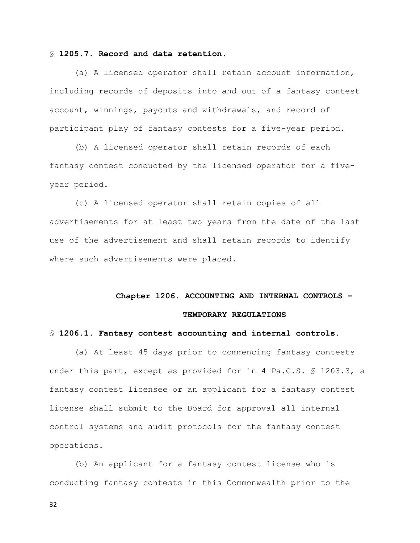#### § 1205.7. Record and data retention.

(a) A licensed operator shall retain account information, including records of deposits into and out of a fantasy contest account, winnings, payouts and withdrawals, and record of participant play of fantasy contests for a five-year period.

 (b) A licensed operator shall retain records of each fantasy contest conducted by the licensed operator for a fiveyear period.

 (c) A licensed operator shall retain copies of all advertisements for at least two years from the date of the last use of the advertisement and shall retain records to identify where such advertisements were placed.

# Chapter 1206. ACCOUNTING AND INTERNAL CONTROLS –

## TEMPORARY REGULATIONS

#### § 1206.1. Fantasy contest accounting and internal controls.

(a) At least 45 days prior to commencing fantasy contests under this part, except as provided for in 4 Pa.C.S. § 1203.3, a fantasy contest licensee or an applicant for a fantasy contest license shall submit to the Board for approval all internal control systems and audit protocols for the fantasy contest operations.

 (b) An applicant for a fantasy contest license who is conducting fantasy contests in this Commonwealth prior to the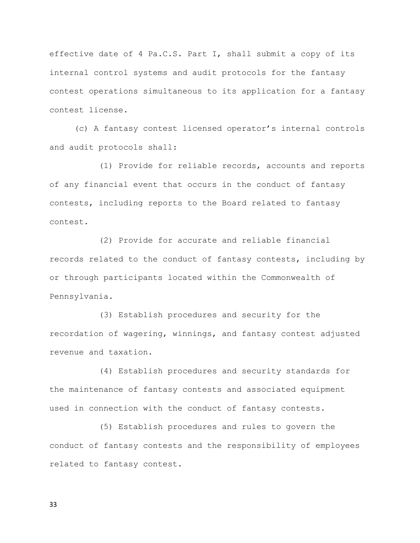effective date of 4 Pa.C.S. Part I, shall submit a copy of its internal control systems and audit protocols for the fantasy contest operations simultaneous to its application for a fantasy contest license.

 (c) A fantasy contest licensed operator's internal controls and audit protocols shall:

 (1) Provide for reliable records, accounts and reports of any financial event that occurs in the conduct of fantasy contests, including reports to the Board related to fantasy contest.

 (2) Provide for accurate and reliable financial records related to the conduct of fantasy contests, including by or through participants located within the Commonwealth of Pennsylvania.

 (3) Establish procedures and security for the recordation of wagering, winnings, and fantasy contest adjusted revenue and taxation.

 (4) Establish procedures and security standards for the maintenance of fantasy contests and associated equipment used in connection with the conduct of fantasy contests.

 (5) Establish procedures and rules to govern the conduct of fantasy contests and the responsibility of employees related to fantasy contest.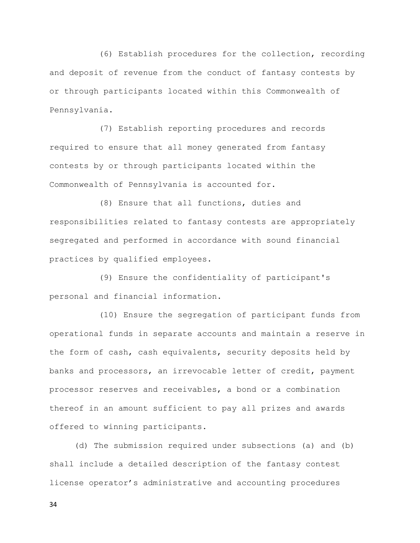(6) Establish procedures for the collection, recording and deposit of revenue from the conduct of fantasy contests by or through participants located within this Commonwealth of Pennsylvania.

 (7) Establish reporting procedures and records required to ensure that all money generated from fantasy contests by or through participants located within the Commonwealth of Pennsylvania is accounted for.

 (8) Ensure that all functions, duties and responsibilities related to fantasy contests are appropriately segregated and performed in accordance with sound financial practices by qualified employees.

 (9) Ensure the confidentiality of participant's personal and financial information.

 (10) Ensure the segregation of participant funds from operational funds in separate accounts and maintain a reserve in the form of cash, cash equivalents, security deposits held by banks and processors, an irrevocable letter of credit, payment processor reserves and receivables, a bond or a combination thereof in an amount sufficient to pay all prizes and awards offered to winning participants.

 (d) The submission required under subsections (a) and (b) shall include a detailed description of the fantasy contest license operator's administrative and accounting procedures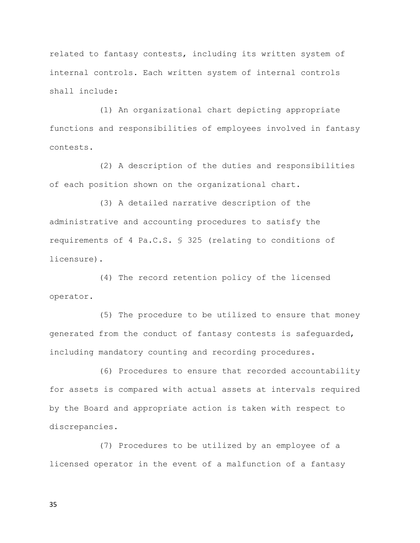related to fantasy contests, including its written system of internal controls. Each written system of internal controls shall include:

 (1) An organizational chart depicting appropriate functions and responsibilities of employees involved in fantasy contests.

 (2) A description of the duties and responsibilities of each position shown on the organizational chart.

 (3) A detailed narrative description of the administrative and accounting procedures to satisfy the requirements of 4 Pa.C.S. § 325 (relating to conditions of licensure).

 (4) The record retention policy of the licensed operator.

 (5) The procedure to be utilized to ensure that money generated from the conduct of fantasy contests is safeguarded, including mandatory counting and recording procedures.

 (6) Procedures to ensure that recorded accountability for assets is compared with actual assets at intervals required by the Board and appropriate action is taken with respect to discrepancies.

 (7) Procedures to be utilized by an employee of a licensed operator in the event of a malfunction of a fantasy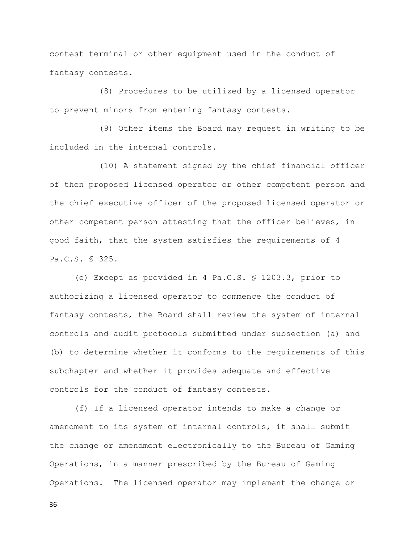contest terminal or other equipment used in the conduct of fantasy contests.

 (8) Procedures to be utilized by a licensed operator to prevent minors from entering fantasy contests.

 (9) Other items the Board may request in writing to be included in the internal controls.

 (10) A statement signed by the chief financial officer of then proposed licensed operator or other competent person and the chief executive officer of the proposed licensed operator or other competent person attesting that the officer believes, in good faith, that the system satisfies the requirements of 4 Pa.C.S. § 325.

 (e) Except as provided in 4 Pa.C.S. § 1203.3, prior to authorizing a licensed operator to commence the conduct of fantasy contests, the Board shall review the system of internal controls and audit protocols submitted under subsection (a) and (b) to determine whether it conforms to the requirements of this subchapter and whether it provides adequate and effective controls for the conduct of fantasy contests.

 (f) If a licensed operator intends to make a change or amendment to its system of internal controls, it shall submit the change or amendment electronically to the Bureau of Gaming Operations, in a manner prescribed by the Bureau of Gaming Operations. The licensed operator may implement the change or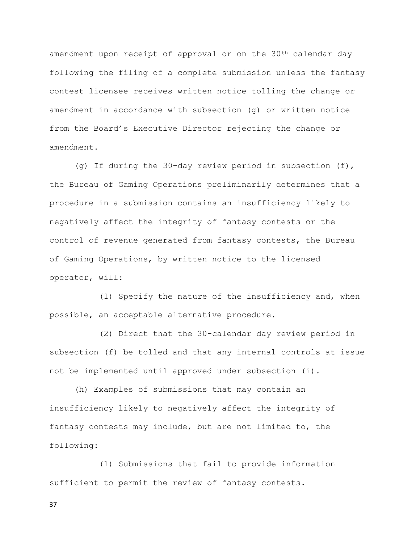amendment upon receipt of approval or on the 30<sup>th</sup> calendar day following the filing of a complete submission unless the fantasy contest licensee receives written notice tolling the change or amendment in accordance with subsection (g) or written notice from the Board's Executive Director rejecting the change or amendment.

 (g) If during the 30-day review period in subsection (f), the Bureau of Gaming Operations preliminarily determines that a procedure in a submission contains an insufficiency likely to negatively affect the integrity of fantasy contests or the control of revenue generated from fantasy contests, the Bureau of Gaming Operations, by written notice to the licensed operator, will:

 (1) Specify the nature of the insufficiency and, when possible, an acceptable alternative procedure.

 (2) Direct that the 30-calendar day review period in subsection (f) be tolled and that any internal controls at issue not be implemented until approved under subsection (i).

 (h) Examples of submissions that may contain an insufficiency likely to negatively affect the integrity of fantasy contests may include, but are not limited to, the following:

 (1) Submissions that fail to provide information sufficient to permit the review of fantasy contests.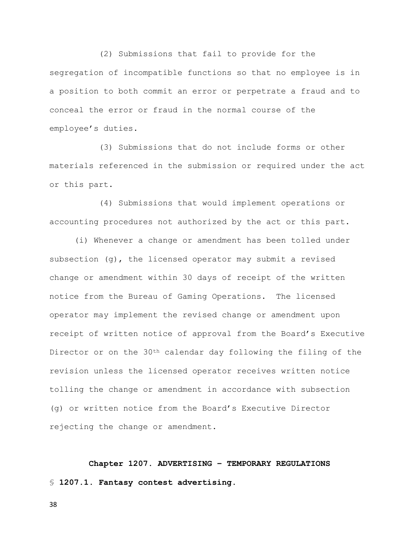(2) Submissions that fail to provide for the segregation of incompatible functions so that no employee is in a position to both commit an error or perpetrate a fraud and to conceal the error or fraud in the normal course of the employee's duties.

 (3) Submissions that do not include forms or other materials referenced in the submission or required under the act or this part.

 (4) Submissions that would implement operations or accounting procedures not authorized by the act or this part.

 (i) Whenever a change or amendment has been tolled under subsection  $(q)$ , the licensed operator may submit a revised change or amendment within 30 days of receipt of the written notice from the Bureau of Gaming Operations. The licensed operator may implement the revised change or amendment upon receipt of written notice of approval from the Board's Executive Director or on the 30th calendar day following the filing of the revision unless the licensed operator receives written notice tolling the change or amendment in accordance with subsection (g) or written notice from the Board's Executive Director rejecting the change or amendment.

Chapter 1207. ADVERTISING – TEMPORARY REGULATIONS § 1207.1. Fantasy contest advertising.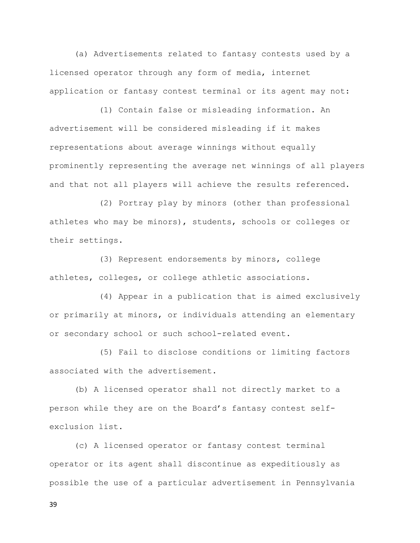(a) Advertisements related to fantasy contests used by a licensed operator through any form of media, internet application or fantasy contest terminal or its agent may not:

 (1) Contain false or misleading information. An advertisement will be considered misleading if it makes representations about average winnings without equally prominently representing the average net winnings of all players and that not all players will achieve the results referenced.

 (2) Portray play by minors (other than professional athletes who may be minors), students, schools or colleges or their settings.

 (3) Represent endorsements by minors, college athletes, colleges, or college athletic associations.

 (4) Appear in a publication that is aimed exclusively or primarily at minors, or individuals attending an elementary or secondary school or such school-related event.

 (5) Fail to disclose conditions or limiting factors associated with the advertisement.

 (b) A licensed operator shall not directly market to a person while they are on the Board's fantasy contest selfexclusion list.

 (c) A licensed operator or fantasy contest terminal operator or its agent shall discontinue as expeditiously as possible the use of a particular advertisement in Pennsylvania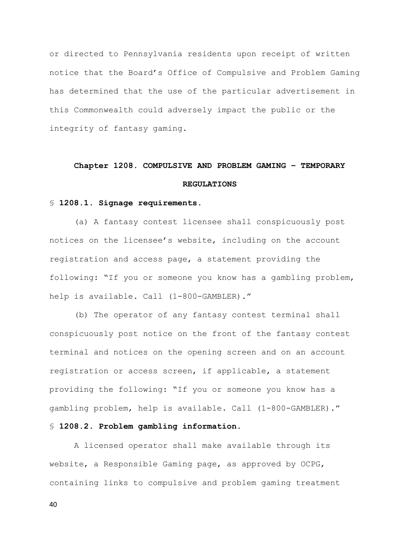or directed to Pennsylvania residents upon receipt of written notice that the Board's Office of Compulsive and Problem Gaming has determined that the use of the particular advertisement in this Commonwealth could adversely impact the public or the integrity of fantasy gaming.

# Chapter 1208. COMPULSIVE AND PROBLEM GAMING – TEMPORARY REGULATIONS

#### § 1208.1. Signage requirements.

(a) A fantasy contest licensee shall conspicuously post notices on the licensee's website, including on the account registration and access page, a statement providing the following: "If you or someone you know has a gambling problem, help is available. Call (1-800-GAMBLER)."

 (b) The operator of any fantasy contest terminal shall conspicuously post notice on the front of the fantasy contest terminal and notices on the opening screen and on an account registration or access screen, if applicable, a statement providing the following: "If you or someone you know has a gambling problem, help is available. Call (1-800-GAMBLER)."

# § 1208.2. Problem gambling information.

 A licensed operator shall make available through its website, a Responsible Gaming page, as approved by OCPG, containing links to compulsive and problem gaming treatment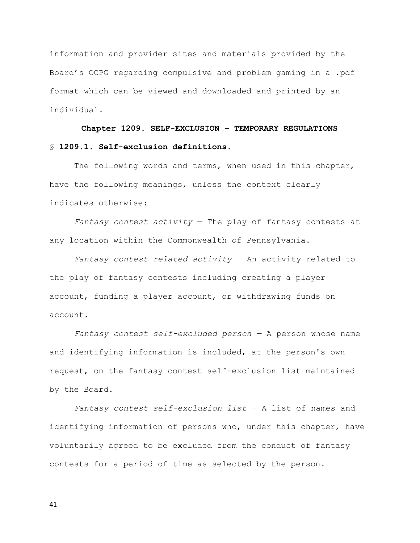information and provider sites and materials provided by the Board's OCPG regarding compulsive and problem gaming in a .pdf format which can be viewed and downloaded and printed by an individual.

Chapter 1209. SELF-EXCLUSION – TEMPORARY REGULATIONS § 1209.1. Self-exclusion definitions.

The following words and terms, when used in this chapter, have the following meanings, unless the context clearly indicates otherwise:

Fantasy contest activity  $-$  The play of fantasy contests at any location within the Commonwealth of Pennsylvania.

Fantasy contest related activity  $-$  An activity related to the play of fantasy contests including creating a player account, funding a player account, or withdrawing funds on account.

Fantasy contest self-excluded person  $-$  A person whose name and identifying information is included, at the person's own request, on the fantasy contest self-exclusion list maintained by the Board.

Fantasy contest self-exclusion list  $-$  A list of names and identifying information of persons who, under this chapter, have voluntarily agreed to be excluded from the conduct of fantasy contests for a period of time as selected by the person.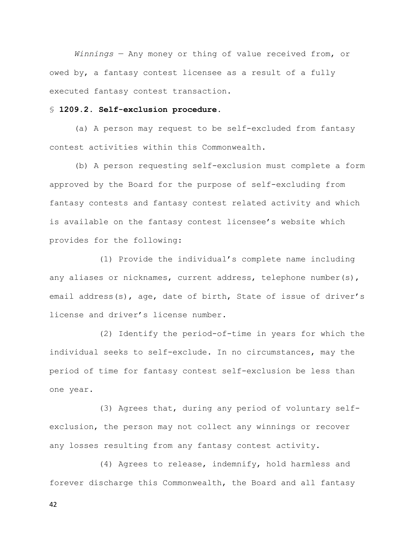Winnings - Any money or thing of value received from, or owed by, a fantasy contest licensee as a result of a fully executed fantasy contest transaction.

## § 1209.2. Self-exclusion procedure.

(a) A person may request to be self-excluded from fantasy contest activities within this Commonwealth.

 (b) A person requesting self-exclusion must complete a form approved by the Board for the purpose of self-excluding from fantasy contests and fantasy contest related activity and which is available on the fantasy contest licensee's website which provides for the following:

 (1) Provide the individual's complete name including any aliases or nicknames, current address, telephone number(s), email address(s), age, date of birth, State of issue of driver's license and driver's license number.

 (2) Identify the period-of-time in years for which the individual seeks to self-exclude. In no circumstances, may the period of time for fantasy contest self-exclusion be less than one year.

 (3) Agrees that, during any period of voluntary selfexclusion, the person may not collect any winnings or recover any losses resulting from any fantasy contest activity.

 (4) Agrees to release, indemnify, hold harmless and forever discharge this Commonwealth, the Board and all fantasy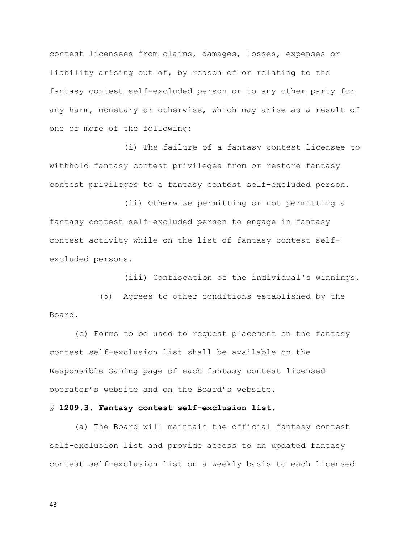contest licensees from claims, damages, losses, expenses or liability arising out of, by reason of or relating to the fantasy contest self-excluded person or to any other party for any harm, monetary or otherwise, which may arise as a result of one or more of the following:

 (i) The failure of a fantasy contest licensee to withhold fantasy contest privileges from or restore fantasy contest privileges to a fantasy contest self-excluded person.

 (ii) Otherwise permitting or not permitting a fantasy contest self-excluded person to engage in fantasy contest activity while on the list of fantasy contest selfexcluded persons.

(iii) Confiscation of the individual's winnings.

 (5) Agrees to other conditions established by the Board.

 (c) Forms to be used to request placement on the fantasy contest self-exclusion list shall be available on the Responsible Gaming page of each fantasy contest licensed operator's website and on the Board's website.

# § 1209.3. Fantasy contest self-exclusion list.

(a) The Board will maintain the official fantasy contest self-exclusion list and provide access to an updated fantasy contest self-exclusion list on a weekly basis to each licensed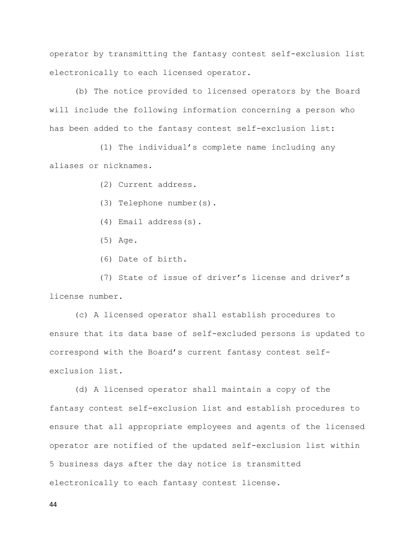operator by transmitting the fantasy contest self-exclusion list electronically to each licensed operator.

 (b) The notice provided to licensed operators by the Board will include the following information concerning a person who has been added to the fantasy contest self-exclusion list:

 (1) The individual's complete name including any aliases or nicknames.

(2) Current address.

- (3) Telephone number(s).
- (4) Email address(s).
- (5) Age.
- (6) Date of birth.

 (7) State of issue of driver's license and driver's license number.

 (c) A licensed operator shall establish procedures to ensure that its data base of self-excluded persons is updated to correspond with the Board's current fantasy contest selfexclusion list.

 (d) A licensed operator shall maintain a copy of the fantasy contest self-exclusion list and establish procedures to ensure that all appropriate employees and agents of the licensed operator are notified of the updated self-exclusion list within 5 business days after the day notice is transmitted electronically to each fantasy contest license.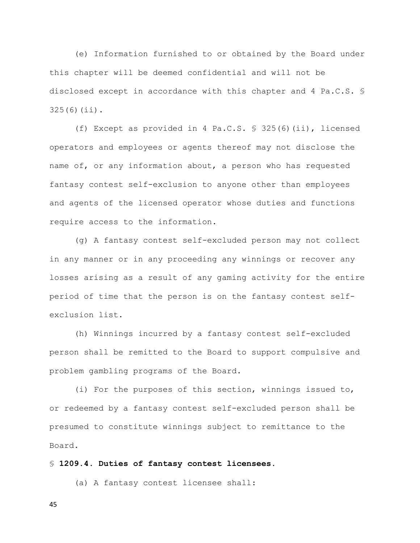(e) Information furnished to or obtained by the Board under this chapter will be deemed confidential and will not be disclosed except in accordance with this chapter and 4 Pa.C.S. § 325(6)(ii).

 (f) Except as provided in 4 Pa.C.S. § 325(6)(ii), licensed operators and employees or agents thereof may not disclose the name of, or any information about, a person who has requested fantasy contest self-exclusion to anyone other than employees and agents of the licensed operator whose duties and functions require access to the information.

 (g) A fantasy contest self-excluded person may not collect in any manner or in any proceeding any winnings or recover any losses arising as a result of any gaming activity for the entire period of time that the person is on the fantasy contest selfexclusion list.

 (h) Winnings incurred by a fantasy contest self-excluded person shall be remitted to the Board to support compulsive and problem gambling programs of the Board.

 (i) For the purposes of this section, winnings issued to, or redeemed by a fantasy contest self-excluded person shall be presumed to constitute winnings subject to remittance to the Board.

§ 1209.4. Duties of fantasy contest licensees.

(a) A fantasy contest licensee shall: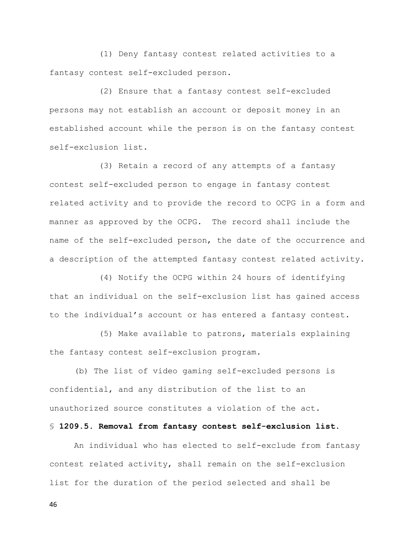(1) Deny fantasy contest related activities to a fantasy contest self-excluded person.

 (2) Ensure that a fantasy contest self-excluded persons may not establish an account or deposit money in an established account while the person is on the fantasy contest self-exclusion list.

 (3) Retain a record of any attempts of a fantasy contest self-excluded person to engage in fantasy contest related activity and to provide the record to OCPG in a form and manner as approved by the OCPG. The record shall include the name of the self-excluded person, the date of the occurrence and a description of the attempted fantasy contest related activity.

 (4) Notify the OCPG within 24 hours of identifying that an individual on the self-exclusion list has gained access to the individual's account or has entered a fantasy contest.

 (5) Make available to patrons, materials explaining the fantasy contest self-exclusion program.

 (b) The list of video gaming self-excluded persons is confidential, and any distribution of the list to an unauthorized source constitutes a violation of the act.

# § 1209.5. Removal from fantasy contest self-exclusion list.

 An individual who has elected to self-exclude from fantasy contest related activity, shall remain on the self-exclusion list for the duration of the period selected and shall be